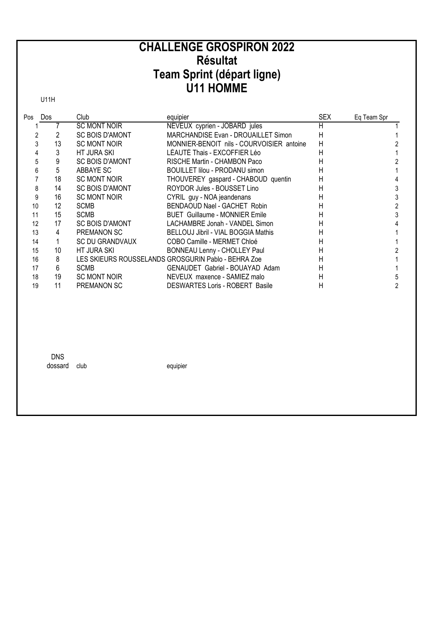## **CHALLENGE GROSPIRON 2022 Résultat** Team Sprint (départ ligne)<br>U11 HOMME

**U11H** 

| Pos | Dos | Club                   | equipier                                            | <b>SEX</b> | Eq Team Spr |
|-----|-----|------------------------|-----------------------------------------------------|------------|-------------|
|     |     | <b>SC MONT NOIR</b>    | NEVEUX cyprien - JOBARD jules                       | Η          |             |
|     |     | SC BOIS D'AMONT        | MARCHANDISE Evan - DROUAILLET Simon                 | Н          |             |
|     | 13  | <b>SC MONT NOIR</b>    | MONNIER-BENOIT nils - COURVOISIER antoine           | H          |             |
|     | 3   | HT JURA SKI            | LÉAUTÉ Thais - EXCOFFIER Léo                        | Н          |             |
|     | 9   | SC BOIS D'AMONT        | RISCHE Martin - CHAMBON Paco                        | Н          |             |
|     | 5   | ABBAYE SC              | BOUILLET lilou - PRODANU simon                      | н          |             |
|     | 18  | SC MONT NOIR           | THOUVEREY gaspard - CHABOUD quentin                 | н          |             |
|     | 14  | SC BOIS D'AMONT        | ROYDOR Jules - BOUSSET Lino                         | н          |             |
| 9   | 16  | SC MONT NOIR           | CYRIL guy - NOA jeandenans                          | н          |             |
| 10  | 12  | <b>SCMB</b>            | BENDAOUD Nael - GACHET Robin                        | Н          |             |
| 11  | 15  | <b>SCMB</b>            | <b>BUET</b> Guillaume - MONNIER Emile               | н          |             |
| 12  | 17  | <b>SC BOIS D'AMONT</b> | LACHAMBRE Jonah - VANDEL Simon                      | н          |             |
| 13  | 4   | PREMANON SC            | BELLOUJ Jibril - VIAL BOGGIA Mathis                 | н          |             |
| 14  |     | SC DU GRANDVAUX        | COBO Camille - MERMET Chloé                         | Н          |             |
| 15  | 10  | HT JURA SKI            | BONNEAU Lenny - CHOLLEY Paul                        | н          |             |
| 16  | 8   |                        | LES SKIEURS ROUSSELANDS GROSGURIN Pablo - BEHRA Zoe | н          |             |
| 17  | 6   | <b>SCMB</b>            | GENAUDET Gabriel - BOUAYAD Adam                     | н          |             |
| 18  | 19  | SC MONT NOIR           | NEVEUX maxence - SAMIEZ malo                        | н          |             |
| 19  | 11  | PREMANON SC            | <b>DESWARTES Loris - ROBERT Basile</b>              | Н          |             |

**DNS** dossard club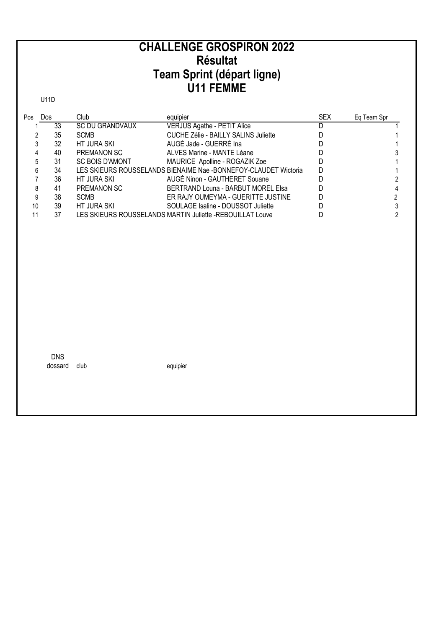#### **CHALLENGE GROSPIRON 2022 Résultat Team Sprint (départ ligne) U11 FEMME**

U11D

| Pos | Dos |    | Club                   | equipier                                                        | <b>SEX</b> | Eq Team Spr |
|-----|-----|----|------------------------|-----------------------------------------------------------------|------------|-------------|
|     |     | 33 | <b>SC DU GRANDVAUX</b> | <b>VERJUS Agathe - PETIT Alice</b>                              |            |             |
|     |     | 35 | SCMB                   | CUCHE Zélie - BAILLY SALINS Juliette                            |            |             |
|     |     | 32 | HT JURA SKI            | AUGÉ Jade - GUERRÉ Ina                                          |            |             |
|     |     | 40 | PREMANON SC            | ALVES Marine - MANTE Léane                                      |            |             |
|     |     | 31 | <b>SC BOIS D'AMONT</b> | MAURICE Apolline - ROGAZIK Zoe                                  |            |             |
| 6   |     | 34 |                        | LES SKIEURS ROUSSELANDS BIENAIME Nae -BONNEFOY-CLAUDET Wictoria |            |             |
|     |     | 36 | HT JURA SKI            | AUGÉ Ninon - GAUTHERET Souane                                   |            |             |
|     |     | 41 | PREMANON SC            | BERTRAND Louna - BARBUT MOREL Elsa                              |            |             |
| 9   |     | 38 | <b>SCMB</b>            | ER RAJY OUMEYMA - GUERITTE JUSTINE                              |            |             |
| 10  |     | 39 | HT JURA SKI            | SOULAGE Isaline - DOUSSOT Juliette                              |            |             |
|     |     | 37 |                        | LES SKIEURS ROUSSELANDS MARTIN Juliette -REBOUILLAT Louve       |            |             |

DNS dossard club equipier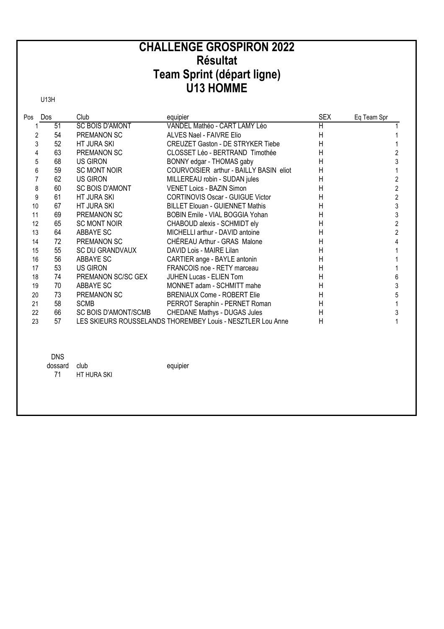# **CHALLENGE GROSPIRON 2022** Résultat Team Sprint (départ ligne)<br>U13 HOMME

**U13H** 

| Pos            | Dos        | Club                        | equipier                                                    | <b>SEX</b>     | Eq Team Spr             |
|----------------|------------|-----------------------------|-------------------------------------------------------------|----------------|-------------------------|
| 1              | 51         | <b>SC BOIS D'AMONT</b>      | VANDEL Mathéo - CART LAMY Léo                               | $\overline{H}$ |                         |
| 2              | 54         | PREMANON SC                 | ALVES Nael - FAIVRE Elio                                    | H              |                         |
| 3              | 52         | HT JURA SKI                 | <b>CREUZET Gaston - DE STRYKER Tiebe</b>                    | H              |                         |
| 4              | 63         | <b>PREMANON SC</b>          | CLOSSET Léo - BERTRAND Timothée                             | Η              | $\overline{c}$          |
| 5              | 68         | <b>US GIRON</b>             | BONNY edgar - THOMAS gaby                                   | Η              | 3                       |
| 6              | 59         | <b>SC MONT NOIR</b>         | COURVOISIER arthur - BAILLY BASIN eliot                     | Η              | 1                       |
| $\overline{7}$ | 62         | US GIRON                    | MILLEREAU robin - SUDAN jules                               | Η              | $\overline{\mathbf{c}}$ |
| 8              | 60         | <b>SC BOIS D'AMONT</b>      | VENET Loics - BAZIN Simon                                   | Η              | $\overline{a}$          |
| 9              | 61         | HT JURA SKI                 | <b>CORTINOVIS Oscar - GUIGUE Victor</b>                     | Η              | $\overline{2}$          |
| 10             | 67         | <b>HT JURA SKI</b>          | <b>BILLET Elouan - GUIENNET Mathis</b>                      | Η              | 3                       |
| 11             | 69         | PREMANON SC                 | BOBIN Emile - VIAL BOGGIA Yohan                             | H              | 3                       |
| 12             | 65         | <b>SC MONT NOIR</b>         | CHABOUD alexis - SCHMIDT ely                                | Η              | $\overline{2}$          |
| 13             | 64         | ABBAYE SC                   | MICHELLI arthur - DAVID antoine                             | Η              | $\overline{2}$          |
| 14             | 72         | <b>PREMANON SC</b>          | CHÉREAU Arthur - GRAS Malone                                | Η              | $\overline{4}$          |
| 15             | 55         | <b>SC DU GRANDVAUX</b>      | DAVID Lois - MAIRE Lilan                                    | Η              |                         |
| 16             | 56         | ABBAYE SC                   | CARTIER ange - BAYLE antonin                                | Η              |                         |
| 17             | 53         | <b>US GIRON</b>             | FRANCOIS noe - RETY marceau                                 | H              | 1                       |
| 18             | 74         | PREMANON SC/SC GEX          | <b>JUHEN Lucas - ELIEN Tom</b>                              | Η              | 6                       |
| 19             | 70         | ABBAYE SC                   | MONNET adam - SCHMITT mahe                                  | H              | 3                       |
| 20             | 73         | <b>PREMANON SC</b>          | <b>BRENIAUX Come - ROBERT Elie</b>                          | Η              | 5                       |
| 21             | 58         | <b>SCMB</b>                 | PERROT Seraphin - PERNET Roman                              | H              | 1                       |
| 22             | 66         | <b>SC BOIS D'AMONT/SCMB</b> | CHEDANE Mathys - DUGAS Jules                                | H              | 3                       |
| 23             | 57         |                             | LES SKIEURS ROUSSELANDS THOREMBEY Louis - NESZTLER Lou Anne | H              | 1                       |
|                |            |                             |                                                             |                |                         |
|                | <b>DNS</b> |                             |                                                             |                |                         |
|                | dossard    | club                        | equipier                                                    |                |                         |
|                | 71         | HT HURA SKI                 |                                                             |                |                         |
|                |            |                             |                                                             |                |                         |
|                |            |                             |                                                             |                |                         |
|                |            |                             |                                                             |                |                         |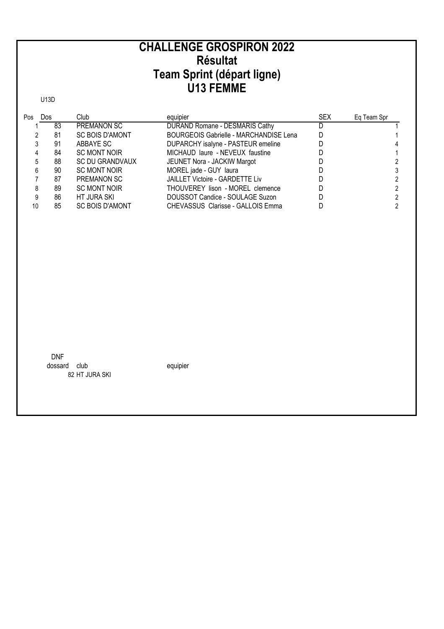#### **U13 FEMME CHALLENGE GROSPIRON 2022 Résultat Team Sprint (départ ligne)**

U13D

| Pos | Dos |    | Club                   | equipier                                      | <b>SEX</b> | Eq Team Spr |
|-----|-----|----|------------------------|-----------------------------------------------|------------|-------------|
|     |     | 83 | <b>PREMANON SC</b>     | DURAND Romane - DESMARIS Cathy                | D          |             |
|     |     | 81 | <b>SC BOIS D'AMONT</b> | <b>BOURGEOIS Gabrielle - MARCHANDISE Lena</b> |            |             |
|     |     | 91 | ABBAYE SC              | DUPARCHY isalyne - PASTEUR emeline            |            |             |
|     |     | 84 | <b>SC MONT NOIR</b>    | MICHAUD laure - NEVEUX faustine               |            |             |
|     | 5   | 88 | SC DU GRANDVAUX        | JEUNET Nora - JACKIW Margot                   |            |             |
|     | 6   | 90 | <b>SC MONT NOIR</b>    | MOREL jade - GUY laura                        |            |             |
|     |     | 87 | PREMANON SC            | <b>JAILLET Victoire - GARDETTE Liv</b>        |            |             |
|     |     | 89 | <b>SC MONT NOIR</b>    | THOUVEREY lison - MOREL clemence              |            |             |
|     |     | 86 | HT JURA SKI            | DOUSSOT Candice - SOULAGE Suzon               |            |             |
| 10  |     | 85 | <b>SC BOIS D'AMONT</b> | CHEVASSUS Clarisse - GALLOIS Emma             |            |             |

DNF dossard club equipier 82 HT JURA SKI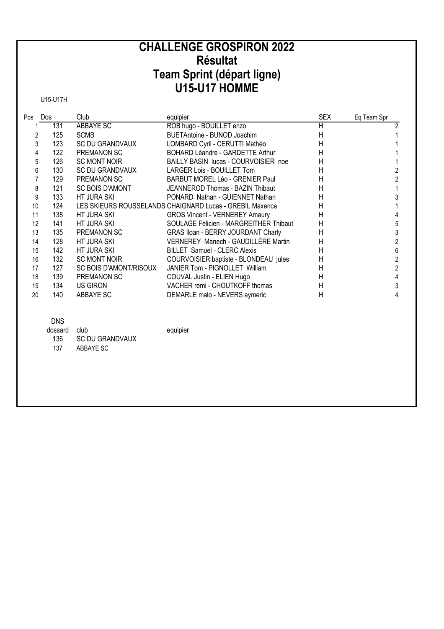## **CHALLENGE GROSPIRON 2022 Résultat** Team Sprint (départ ligne)<br>U15-U17 HOMME

U15-U17H

| Pos | Dos | Club                   | equipier                                                 | <b>SEX</b>   | Eq Team Spr |
|-----|-----|------------------------|----------------------------------------------------------|--------------|-------------|
|     | 131 | ABBAYE SC              | ROB hugo - BOUILLET enzo                                 | H            |             |
|     | 125 | <b>SCMB</b>            | BUETAntoine - BUNOD Joachim                              | $\mathsf{H}$ |             |
| 3   | 123 | <b>SC DU GRANDVAUX</b> | LOMBARD Cyril - CERUTTI Mathéo                           | Η            |             |
| 4   | 122 | PREMANON SC            | BOHARD Léandre - GARDETTE Arthur                         | H            |             |
| 5   | 126 | <b>SC MONT NOIR</b>    | BAILLY BASIN lucas - COURVOISIER noe                     | Н            |             |
| 6   | 130 | <b>SC DU GRANDVAUX</b> | LARGER Lois - BOUILLET Tom                               | Η            |             |
|     | 129 | PREMANON SC            | BARBUT MOREL Léo - GRENIER Paul                          | $\mathsf{H}$ |             |
| 8   | 121 | <b>SC BOIS D'AMONT</b> | JEANNEROD Thomas - BAZIN Thibaut                         | H            |             |
| 9   | 133 | HT JURA SKI            | PONARD Nathan - GUIENNET Nathan                          | H            |             |
| 10  | 124 |                        | LES SKIEURS ROUSSELANDS CHAIGNARD Lucas - GREBIL Maxence | H            |             |
| 11  | 138 | HT JURA SKI            | <b>GROS Vincent - VERNEREY Amaury</b>                    | $\mathsf{H}$ |             |
| 12  | 141 | HT JURA SKI            | SOULAGE Félicien - MARGREITHER Thibaut                   | н            | 5           |
| 13  | 135 | PREMANON SC            | <b>GRAS Iloan - BERRY JOURDANT Charly</b>                | H            |             |
| 14  | 128 | HT JURA SKI            | VERNEREY Manech - GAUDILLÈRE Martin                      | H            |             |
| 15  | 142 | HT JURA SKI            | <b>BILLET Samuel - CLERC Alexis</b>                      | н            | 6           |
| 16  | 132 | <b>SC MONT NOIR</b>    | COURVOISIER baptiste - BLONDEAU jules                    | н            |             |
| 17  | 127 | SC BOIS D'AMONT/RISOUX | JANIER Tom - PIGNOLLET William                           | н            |             |
| 18  | 139 | PREMANON SC            | COUVAL Justin - ELIEN Hugo                               | $\mathsf{H}$ |             |
| 19  | 134 | US GIRON               | VACHER remi - CHOUTKOFF thomas                           | H            |             |
| 20  | 140 | ABBAYE SC              | DEMARLE malo - NEVERS aymeric                            | H            | 4           |

equipier

#### **DNS**

| dossard club |                        |
|--------------|------------------------|
| 136          | <b>SC DU GRANDVAUX</b> |
| 137          | ABBAYF SC              |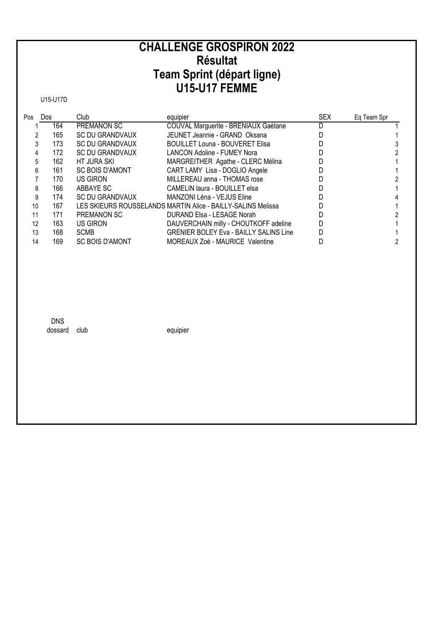# **CHALLENGE GROSPIRON 2022 Résultat** Team Sprint (départ ligne)<br>U15-U17 FEMME

U15-U17D

| Pos | Dos | Club                   | equipier                                                     | <b>SEX</b> | Eg Team Spr |
|-----|-----|------------------------|--------------------------------------------------------------|------------|-------------|
|     | 164 | <b>PREMANON SC</b>     | COUVAL Marguerite - BRENIAUX Gaétane                         |            |             |
|     | 165 | SC DU GRANDVAUX        | JEUNET Jeannie - GRAND Oksana                                |            |             |
|     | 173 | <b>SC DU GRANDVAUX</b> | <b>BOUILLET Louna - BOUVERET Elisa</b>                       |            |             |
| 4   | 172 | <b>SC DU GRANDVAUX</b> | <b>LANCON Adoline - FUMEY Nora</b>                           |            |             |
|     | 162 | HT JURA SKI            | MARGREITHER Agathe - CLERC Mélina                            |            |             |
| 6   | 161 | <b>SC BOIS D'AMONT</b> | CART LAMY Lisa - DOGLIO Angele                               |            |             |
|     | 170 | US GIRON               | MILLEREAU anna - THOMAS rose                                 |            |             |
| 8   | 166 | ABBAYE SC              | CAMELIN laura - BOUILLET elsa                                |            |             |
| 9   | 174 | SC DU GRANDVAUX        | MANZONI Léna - VEJUS Eline                                   |            |             |
| 10  | 167 |                        | LES SKIEURS ROUSSELANDS MARTIN Alice - BAILLY-SALINS Melissa |            |             |
| 11  | 171 | PREMANON SC            | DURAND Elsa - LESAGE Norah                                   |            |             |
| 12  | 163 | US GIRON               | DAUVERCHAIN milly - CHOUTKOFF adeline                        |            |             |
| 13  | 168 | <b>SCMB</b>            | <b>GRENIER BOLEY Eva - BAILLY SALINS Line</b>                |            |             |
| 14  | 169 | <b>SC BOIS D'AMONT</b> | MOREAUX Zoé - MAURICE Valentine                              |            |             |

**DNS** dossard club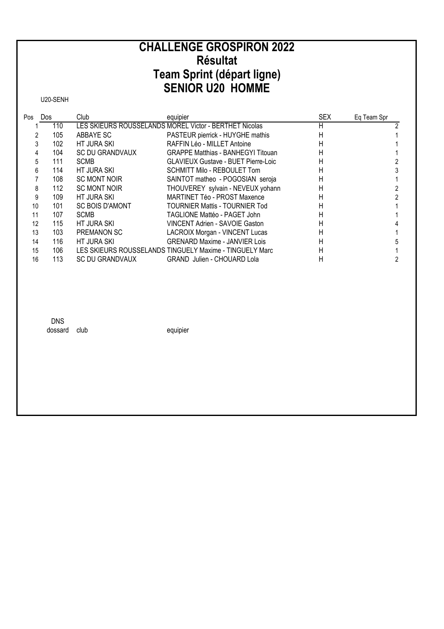## **CHALLENGE GROSPIRON 2022 Résultat** Team Sprint (départ ligne)<br>SENIOR U20 HOMME

U20-SENH

| Pos | Dos | Club                   | equipier                                                | <b>SEX</b> | Eq Team Spr |
|-----|-----|------------------------|---------------------------------------------------------|------------|-------------|
|     | 110 |                        | LES SKIEURS ROUSSELANDS MOREL Victor - BERTHET Nicolas  | н          |             |
|     | 105 | ABBAYE SC              | PASTEUR pierrick - HUYGHE mathis                        | Н          |             |
|     | 102 | HT JURA SKI            | RAFFIN Léo - MILLET Antoine                             | н          |             |
| 4   | 104 | <b>SC DU GRANDVAUX</b> | <b>GRAPPE Matthias - BANHEGYI Titouan</b>               | н          |             |
| 5   | 111 | <b>SCMB</b>            | <b>GLAVIEUX Gustave - BUET Pierre-Loic</b>              | н          |             |
| 6   | 114 | HT JURA SKI            | SCHMITT Milo - REBOULET Tom                             | н          |             |
|     | 108 | <b>SC MONT NOIR</b>    | SAINTOT matheo - POGOSIAN seroja                        | н          |             |
| 8   | 112 | <b>SC MONT NOIR</b>    | THOUVEREY sylvain - NEVEUX yohann                       | н          |             |
| 9   | 109 | HT JURA SKI            | MARTINET Téo - PROST Maxence                            | Н          |             |
| 10  | 101 | <b>SC BOIS D'AMONT</b> | TOURNIER Mattis - TOURNIER Tod                          | н          |             |
| 11  | 107 | <b>SCMB</b>            | TAGLIONE Mattéo - PAGET John                            | Н          |             |
| 12  | 115 | HT JURA SKI            | VINCENT Adrien - SAVOIE Gaston                          | Н          |             |
| 13  | 103 | PREMANON SC            | LACROIX Morgan - VINCENT Lucas                          | Н          |             |
| 14  | 116 | HT JURA SKI            | <b>GRENARD Maxime - JANVIER Lois</b>                    | Н          |             |
| 15  | 106 |                        | LES SKIEURS ROUSSELANDS TINGUELY Maxime - TINGUELY Marc | H          |             |
| 16  | 113 | SC DU GRANDVAUX        | <b>GRAND</b> Julien - CHOUARD Lola                      | н          |             |

**DNS** dossard club